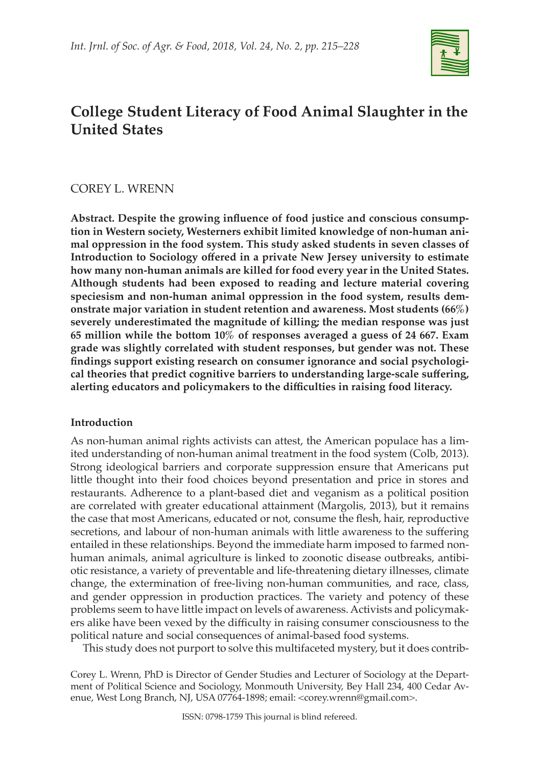

# **College Student Literacy of Food Animal Slaughter in the United States**

# COREY L. WRENN

**Abstract. Despite the growing influence of food justice and conscious consumption in Western society, Westerners exhibit limited knowledge of non-human animal oppression in the food system. This study asked students in seven classes of Introduction to Sociology offered in a private New Jersey university to estimate how many non-human animals are killed for food every year in the United States. Although students had been exposed to reading and lecture material covering speciesism and non-human animal oppression in the food system, results demonstrate major variation in student retention and awareness. Most students (66%) severely underestimated the magnitude of killing; the median response was just 65 million while the bottom 10% of responses averaged a guess of 24 667. Exam grade was slightly correlated with student responses, but gender was not. These findings support existing research on consumer ignorance and social psychological theories that predict cognitive barriers to understanding large-scale suffering, alerting educators and policymakers to the difficulties in raising food literacy.**

# **Introduction**

As non-human animal rights activists can attest, the American populace has a limited understanding of non-human animal treatment in the food system (Colb, 2013). Strong ideological barriers and corporate suppression ensure that Americans put little thought into their food choices beyond presentation and price in stores and restaurants. Adherence to a plant-based diet and veganism as a political position are correlated with greater educational attainment (Margolis, 2013), but it remains the case that most Americans, educated or not, consume the flesh, hair, reproductive secretions, and labour of non-human animals with little awareness to the suffering entailed in these relationships. Beyond the immediate harm imposed to farmed nonhuman animals, animal agriculture is linked to zoonotic disease outbreaks, antibiotic resistance, a variety of preventable and life-threatening dietary illnesses, climate change, the extermination of free-living non-human communities, and race, class, and gender oppression in production practices. The variety and potency of these problems seem to have little impact on levels of awareness. Activists and policymakers alike have been vexed by the difficulty in raising consumer consciousness to the political nature and social consequences of animal-based food systems.

This study does not purport to solve this multifaceted mystery, but it does contrib-

Corey L. Wrenn, PhD is Director of Gender Studies and Lecturer of Sociology at the Department of Political Science and Sociology, Monmouth University, Bey Hall 234, 400 Cedar Avenue, West Long Branch, NJ, USA 07764-1898; email: <corey.wrenn@gmail.com>.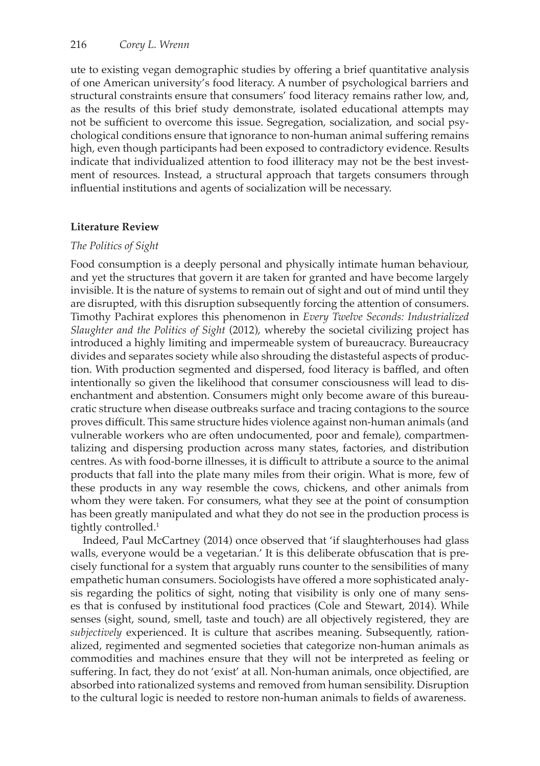ute to existing vegan demographic studies by offering a brief quantitative analysis of one American university's food literacy. A number of psychological barriers and structural constraints ensure that consumers' food literacy remains rather low, and, as the results of this brief study demonstrate, isolated educational attempts may not be sufficient to overcome this issue. Segregation, socialization, and social psychological conditions ensure that ignorance to non-human animal suffering remains high, even though participants had been exposed to contradictory evidence. Results indicate that individualized attention to food illiteracy may not be the best investment of resources. Instead, a structural approach that targets consumers through influential institutions and agents of socialization will be necessary.

# **Literature Review**

# *The Politics of Sight*

Food consumption is a deeply personal and physically intimate human behaviour, and yet the structures that govern it are taken for granted and have become largely invisible. It is the nature of systems to remain out of sight and out of mind until they are disrupted, with this disruption subsequently forcing the attention of consumers. Timothy Pachirat explores this phenomenon in *Every Twelve Seconds: Industrialized Slaughter and the Politics of Sight* (2012), whereby the societal civilizing project has introduced a highly limiting and impermeable system of bureaucracy. Bureaucracy divides and separates society while also shrouding the distasteful aspects of production. With production segmented and dispersed, food literacy is baffled, and often intentionally so given the likelihood that consumer consciousness will lead to disenchantment and abstention. Consumers might only become aware of this bureaucratic structure when disease outbreaks surface and tracing contagions to the source proves difficult. This same structure hides violence against non-human animals (and vulnerable workers who are often undocumented, poor and female), compartmentalizing and dispersing production across many states, factories, and distribution centres. As with food-borne illnesses, it is difficult to attribute a source to the animal products that fall into the plate many miles from their origin. What is more, few of these products in any way resemble the cows, chickens, and other animals from whom they were taken. For consumers, what they see at the point of consumption has been greatly manipulated and what they do not see in the production process is tightly controlled.<sup>1</sup>

Indeed, Paul McCartney (2014) once observed that 'if slaughterhouses had glass walls, everyone would be a vegetarian.' It is this deliberate obfuscation that is precisely functional for a system that arguably runs counter to the sensibilities of many empathetic human consumers. Sociologists have offered a more sophisticated analysis regarding the politics of sight, noting that visibility is only one of many senses that is confused by institutional food practices (Cole and Stewart, 2014). While senses (sight, sound, smell, taste and touch) are all objectively registered, they are *subjectively* experienced. It is culture that ascribes meaning. Subsequently, rationalized, regimented and segmented societies that categorize non-human animals as commodities and machines ensure that they will not be interpreted as feeling or suffering. In fact, they do not 'exist' at all. Non-human animals, once objectified, are absorbed into rationalized systems and removed from human sensibility. Disruption to the cultural logic is needed to restore non-human animals to fields of awareness.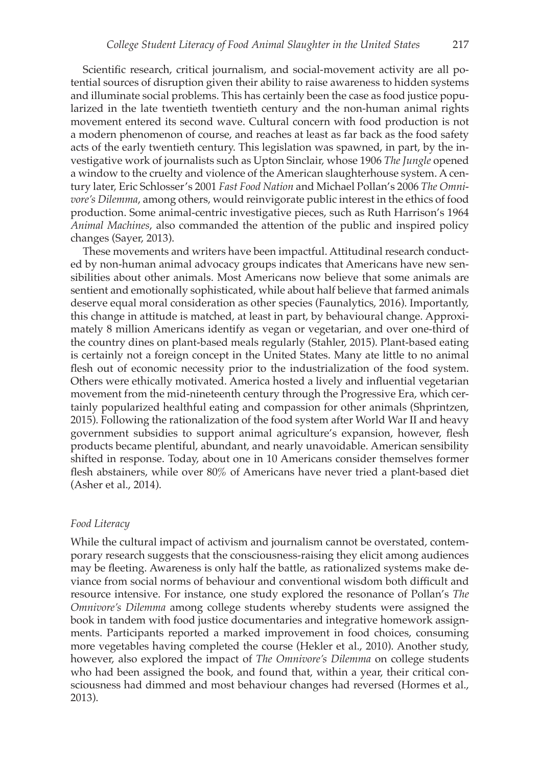Scientific research, critical journalism, and social-movement activity are all potential sources of disruption given their ability to raise awareness to hidden systems and illuminate social problems. This has certainly been the case as food justice popularized in the late twentieth twentieth century and the non-human animal rights movement entered its second wave. Cultural concern with food production is not a modern phenomenon of course, and reaches at least as far back as the food safety acts of the early twentieth century. This legislation was spawned, in part, by the investigative work of journalists such as Upton Sinclair, whose 1906 *The Jungle* opened a window to the cruelty and violence of the American slaughterhouse system. A century later, Eric Schlosser's 2001 *Fast Food Nation* and Michael Pollan's 2006 *The Omnivore's Dilemma*, among others, would reinvigorate public interest in the ethics of food production. Some animal-centric investigative pieces, such as Ruth Harrison's 1964 *Animal Machines*, also commanded the attention of the public and inspired policy changes (Sayer, 2013).

These movements and writers have been impactful. Attitudinal research conducted by non-human animal advocacy groups indicates that Americans have new sensibilities about other animals. Most Americans now believe that some animals are sentient and emotionally sophisticated, while about half believe that farmed animals deserve equal moral consideration as other species (Faunalytics, 2016). Importantly, this change in attitude is matched, at least in part, by behavioural change. Approximately 8 million Americans identify as vegan or vegetarian, and over one-third of the country dines on plant-based meals regularly (Stahler, 2015). Plant-based eating is certainly not a foreign concept in the United States. Many ate little to no animal flesh out of economic necessity prior to the industrialization of the food system. Others were ethically motivated. America hosted a lively and influential vegetarian movement from the mid-nineteenth century through the Progressive Era, which certainly popularized healthful eating and compassion for other animals (Shprintzen, 2015). Following the rationalization of the food system after World War II and heavy government subsidies to support animal agriculture's expansion, however, flesh products became plentiful, abundant, and nearly unavoidable. American sensibility shifted in response. Today, about one in 10 Americans consider themselves former flesh abstainers, while over 80% of Americans have never tried a plant-based diet (Asher et al., 2014).

#### *Food Literacy*

While the cultural impact of activism and journalism cannot be overstated, contemporary research suggests that the consciousness-raising they elicit among audiences may be fleeting. Awareness is only half the battle, as rationalized systems make deviance from social norms of behaviour and conventional wisdom both difficult and resource intensive. For instance, one study explored the resonance of Pollan's *The Omnivore's Dilemma* among college students whereby students were assigned the book in tandem with food justice documentaries and integrative homework assignments. Participants reported a marked improvement in food choices, consuming more vegetables having completed the course (Hekler et al., 2010). Another study, however, also explored the impact of *The Omnivore's Dilemma* on college students who had been assigned the book, and found that, within a year, their critical consciousness had dimmed and most behaviour changes had reversed (Hormes et al., 2013).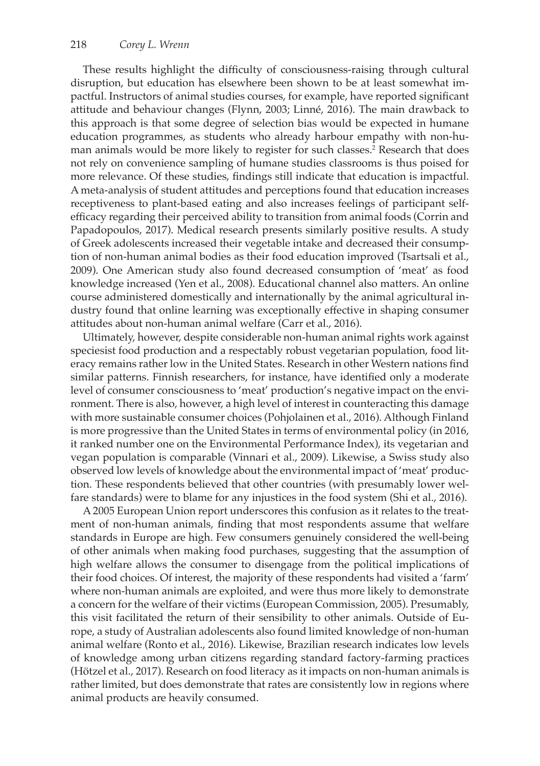These results highlight the difficulty of consciousness-raising through cultural disruption, but education has elsewhere been shown to be at least somewhat impactful. Instructors of animal studies courses, for example, have reported significant attitude and behaviour changes (Flynn, 2003; Linné, 2016). The main drawback to this approach is that some degree of selection bias would be expected in humane education programmes, as students who already harbour empathy with non-human animals would be more likely to register for such classes.2 Research that does not rely on convenience sampling of humane studies classrooms is thus poised for more relevance. Of these studies, findings still indicate that education is impactful. A meta-analysis of student attitudes and perceptions found that education increases receptiveness to plant-based eating and also increases feelings of participant selfefficacy regarding their perceived ability to transition from animal foods (Corrin and Papadopoulos, 2017). Medical research presents similarly positive results. A study of Greek adolescents increased their vegetable intake and decreased their consumption of non-human animal bodies as their food education improved (Tsartsali et al., 2009). One American study also found decreased consumption of 'meat' as food knowledge increased (Yen et al., 2008). Educational channel also matters. An online course administered domestically and internationally by the animal agricultural industry found that online learning was exceptionally effective in shaping consumer attitudes about non-human animal welfare (Carr et al., 2016).

Ultimately, however, despite considerable non-human animal rights work against speciesist food production and a respectably robust vegetarian population, food literacy remains rather low in the United States. Research in other Western nations find similar patterns. Finnish researchers, for instance, have identified only a moderate level of consumer consciousness to 'meat' production's negative impact on the environment. There is also, however, a high level of interest in counteracting this damage with more sustainable consumer choices (Pohjolainen et al., 2016). Although Finland is more progressive than the United States in terms of environmental policy (in 2016, it ranked number one on the Environmental Performance Index), its vegetarian and vegan population is comparable (Vinnari et al., 2009). Likewise, a Swiss study also observed low levels of knowledge about the environmental impact of 'meat' production. These respondents believed that other countries (with presumably lower welfare standards) were to blame for any injustices in the food system (Shi et al., 2016).

A 2005 European Union report underscores this confusion as it relates to the treatment of non-human animals, finding that most respondents assume that welfare standards in Europe are high. Few consumers genuinely considered the well-being of other animals when making food purchases, suggesting that the assumption of high welfare allows the consumer to disengage from the political implications of their food choices. Of interest, the majority of these respondents had visited a 'farm' where non-human animals are exploited, and were thus more likely to demonstrate a concern for the welfare of their victims (European Commission, 2005). Presumably, this visit facilitated the return of their sensibility to other animals. Outside of Europe, a study of Australian adolescents also found limited knowledge of non-human animal welfare (Ronto et al., 2016). Likewise, Brazilian research indicates low levels of knowledge among urban citizens regarding standard factory-farming practices (Hötzel et al., 2017). Research on food literacy as it impacts on non-human animals is rather limited, but does demonstrate that rates are consistently low in regions where animal products are heavily consumed.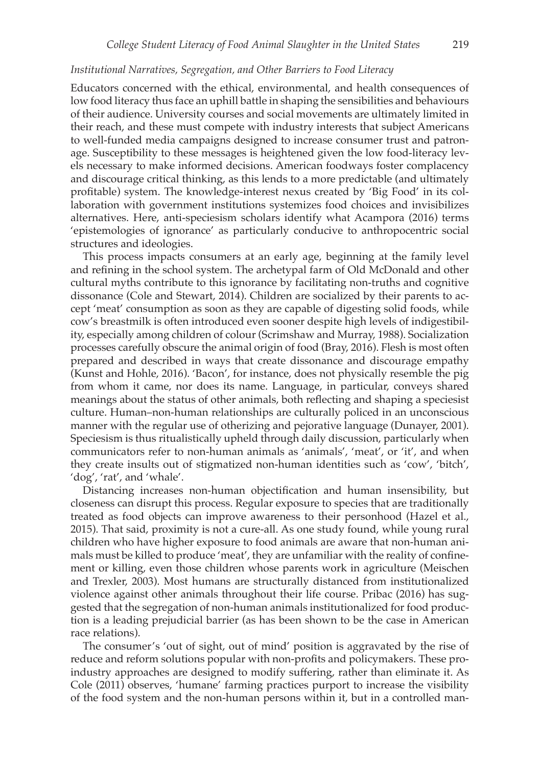## *Institutional Narratives, Segregation, and Other Barriers to Food Literacy*

Educators concerned with the ethical, environmental, and health consequences of low food literacy thus face an uphill battle in shaping the sensibilities and behaviours of their audience. University courses and social movements are ultimately limited in their reach, and these must compete with industry interests that subject Americans to well-funded media campaigns designed to increase consumer trust and patronage. Susceptibility to these messages is heightened given the low food-literacy levels necessary to make informed decisions. American foodways foster complacency and discourage critical thinking, as this lends to a more predictable (and ultimately profitable) system. The knowledge-interest nexus created by 'Big Food' in its collaboration with government institutions systemizes food choices and invisibilizes alternatives. Here, anti-speciesism scholars identify what Acampora (2016) terms 'epistemologies of ignorance' as particularly conducive to anthropocentric social structures and ideologies.

This process impacts consumers at an early age, beginning at the family level and refining in the school system. The archetypal farm of Old McDonald and other cultural myths contribute to this ignorance by facilitating non-truths and cognitive dissonance (Cole and Stewart, 2014). Children are socialized by their parents to accept 'meat' consumption as soon as they are capable of digesting solid foods, while cow's breastmilk is often introduced even sooner despite high levels of indigestibility, especially among children of colour (Scrimshaw and Murray, 1988). Socialization processes carefully obscure the animal origin of food (Bray, 2016). Flesh is most often prepared and described in ways that create dissonance and discourage empathy (Kunst and Hohle, 2016). 'Bacon', for instance, does not physically resemble the pig from whom it came, nor does its name. Language, in particular, conveys shared meanings about the status of other animals, both reflecting and shaping a speciesist culture. Human–non-human relationships are culturally policed in an unconscious manner with the regular use of otherizing and pejorative language (Dunayer, 2001). Speciesism is thus ritualistically upheld through daily discussion, particularly when communicators refer to non-human animals as 'animals', 'meat', or 'it', and when they create insults out of stigmatized non-human identities such as 'cow', 'bitch', 'dog', 'rat', and 'whale'.

Distancing increases non-human objectification and human insensibility, but closeness can disrupt this process. Regular exposure to species that are traditionally treated as food objects can improve awareness to their personhood (Hazel et al., 2015). That said, proximity is not a cure-all. As one study found, while young rural children who have higher exposure to food animals are aware that non-human animals must be killed to produce 'meat', they are unfamiliar with the reality of confinement or killing, even those children whose parents work in agriculture (Meischen and Trexler, 2003). Most humans are structurally distanced from institutionalized violence against other animals throughout their life course. Pribac (2016) has suggested that the segregation of non-human animals institutionalized for food production is a leading prejudicial barrier (as has been shown to be the case in American race relations).

The consumer's 'out of sight, out of mind' position is aggravated by the rise of reduce and reform solutions popular with non-profits and policymakers. These proindustry approaches are designed to modify suffering, rather than eliminate it. As Cole (2011) observes, 'humane' farming practices purport to increase the visibility of the food system and the non-human persons within it, but in a controlled man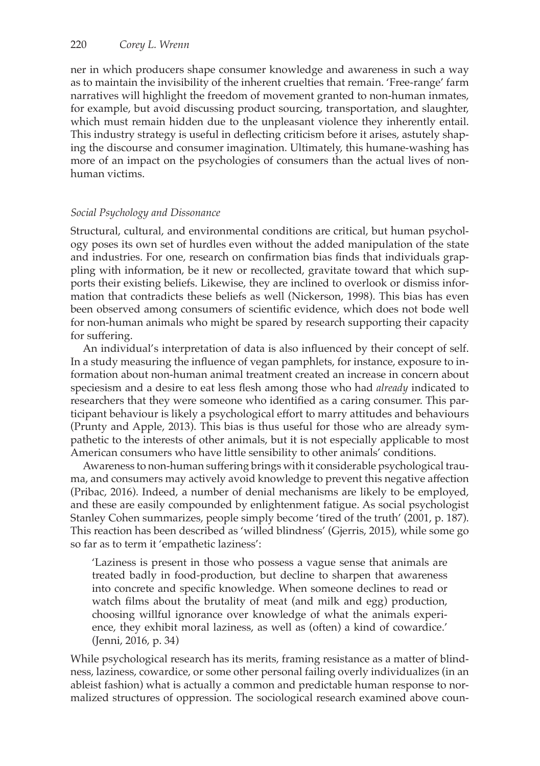ner in which producers shape consumer knowledge and awareness in such a way as to maintain the invisibility of the inherent cruelties that remain. 'Free-range' farm narratives will highlight the freedom of movement granted to non-human inmates, for example, but avoid discussing product sourcing, transportation, and slaughter, which must remain hidden due to the unpleasant violence they inherently entail. This industry strategy is useful in deflecting criticism before it arises, astutely shaping the discourse and consumer imagination. Ultimately, this humane-washing has more of an impact on the psychologies of consumers than the actual lives of nonhuman victims.

## *Social Psychology and Dissonance*

Structural, cultural, and environmental conditions are critical, but human psychology poses its own set of hurdles even without the added manipulation of the state and industries. For one, research on confirmation bias finds that individuals grappling with information, be it new or recollected, gravitate toward that which supports their existing beliefs. Likewise, they are inclined to overlook or dismiss information that contradicts these beliefs as well (Nickerson, 1998). This bias has even been observed among consumers of scientific evidence, which does not bode well for non-human animals who might be spared by research supporting their capacity for suffering.

An individual's interpretation of data is also influenced by their concept of self. In a study measuring the influence of vegan pamphlets, for instance, exposure to information about non-human animal treatment created an increase in concern about speciesism and a desire to eat less flesh among those who had *already* indicated to researchers that they were someone who identified as a caring consumer. This participant behaviour is likely a psychological effort to marry attitudes and behaviours (Prunty and Apple, 2013). This bias is thus useful for those who are already sympathetic to the interests of other animals, but it is not especially applicable to most American consumers who have little sensibility to other animals' conditions.

Awareness to non-human suffering brings with it considerable psychological trauma, and consumers may actively avoid knowledge to prevent this negative affection (Pribac, 2016). Indeed, a number of denial mechanisms are likely to be employed, and these are easily compounded by enlightenment fatigue. As social psychologist Stanley Cohen summarizes, people simply become 'tired of the truth' (2001, p. 187). This reaction has been described as 'willed blindness' (Gjerris, 2015), while some go so far as to term it 'empathetic laziness':

'Laziness is present in those who possess a vague sense that animals are treated badly in food-production, but decline to sharpen that awareness into concrete and specific knowledge. When someone declines to read or watch films about the brutality of meat (and milk and egg) production, choosing willful ignorance over knowledge of what the animals experience, they exhibit moral laziness, as well as (often) a kind of cowardice.' (Jenni, 2016, p. 34)

While psychological research has its merits, framing resistance as a matter of blindness, laziness, cowardice, or some other personal failing overly individualizes (in an ableist fashion) what is actually a common and predictable human response to normalized structures of oppression. The sociological research examined above coun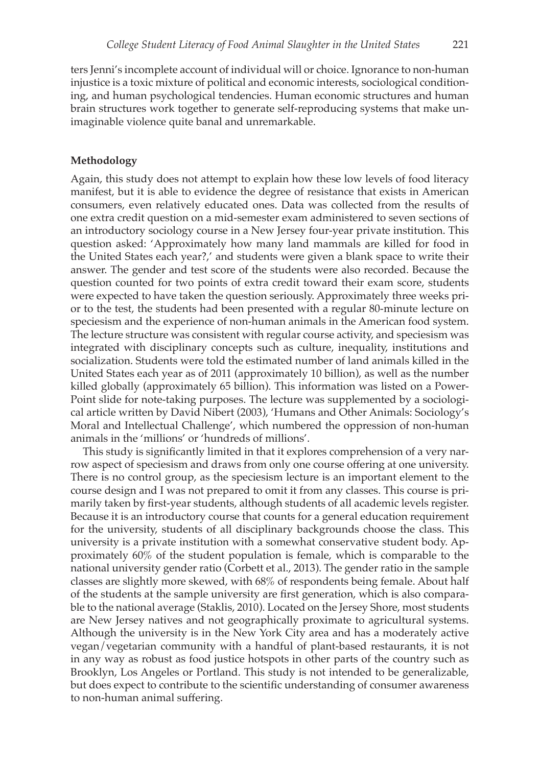ters Jenni's incomplete account of individual will or choice. Ignorance to non-human injustice is a toxic mixture of political and economic interests, sociological conditioning, and human psychological tendencies. Human economic structures and human brain structures work together to generate self-reproducing systems that make unimaginable violence quite banal and unremarkable.

#### **Methodology**

Again, this study does not attempt to explain how these low levels of food literacy manifest, but it is able to evidence the degree of resistance that exists in American consumers, even relatively educated ones. Data was collected from the results of one extra credit question on a mid-semester exam administered to seven sections of an introductory sociology course in a New Jersey four-year private institution. This question asked: 'Approximately how many land mammals are killed for food in the United States each year?,' and students were given a blank space to write their answer. The gender and test score of the students were also recorded. Because the question counted for two points of extra credit toward their exam score, students were expected to have taken the question seriously. Approximately three weeks prior to the test, the students had been presented with a regular 80-minute lecture on speciesism and the experience of non-human animals in the American food system. The lecture structure was consistent with regular course activity, and speciesism was integrated with disciplinary concepts such as culture, inequality, institutions and socialization. Students were told the estimated number of land animals killed in the United States each year as of 2011 (approximately 10 billion), as well as the number killed globally (approximately 65 billion). This information was listed on a Power-Point slide for note-taking purposes. The lecture was supplemented by a sociological article written by David Nibert (2003), 'Humans and Other Animals: Sociology's Moral and Intellectual Challenge', which numbered the oppression of non-human animals in the 'millions' or 'hundreds of millions'.

This study is significantly limited in that it explores comprehension of a very narrow aspect of speciesism and draws from only one course offering at one university. There is no control group, as the speciesism lecture is an important element to the course design and I was not prepared to omit it from any classes. This course is primarily taken by first-year students, although students of all academic levels register. Because it is an introductory course that counts for a general education requirement for the university, students of all disciplinary backgrounds choose the class. This university is a private institution with a somewhat conservative student body. Approximately 60% of the student population is female, which is comparable to the national university gender ratio (Corbett et al., 2013). The gender ratio in the sample classes are slightly more skewed, with 68% of respondents being female. About half of the students at the sample university are first generation, which is also comparable to the national average (Staklis, 2010). Located on the Jersey Shore, most students are New Jersey natives and not geographically proximate to agricultural systems. Although the university is in the New York City area and has a moderately active vegan/vegetarian community with a handful of plant-based restaurants, it is not in any way as robust as food justice hotspots in other parts of the country such as Brooklyn, Los Angeles or Portland. This study is not intended to be generalizable, but does expect to contribute to the scientific understanding of consumer awareness to non-human animal suffering.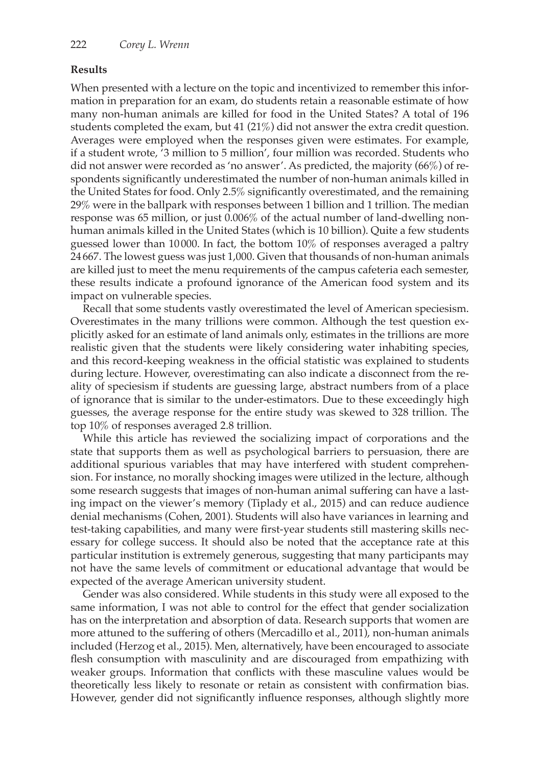## **Results**

When presented with a lecture on the topic and incentivized to remember this information in preparation for an exam, do students retain a reasonable estimate of how many non-human animals are killed for food in the United States? A total of 196 students completed the exam, but 41 (21%) did not answer the extra credit question. Averages were employed when the responses given were estimates. For example, if a student wrote, '3 million to 5 million', four million was recorded. Students who did not answer were recorded as 'no answer'. As predicted, the majority (66%) of respondents significantly underestimated the number of non-human animals killed in the United States for food. Only 2.5% significantly overestimated, and the remaining 29% were in the ballpark with responses between 1 billion and 1 trillion. The median response was 65 million, or just 0.006% of the actual number of land-dwelling nonhuman animals killed in the United States (which is 10 billion). Quite a few students guessed lower than 10 000. In fact, the bottom 10% of responses averaged a paltry 24667. The lowest guess was just 1,000. Given that thousands of non-human animals are killed just to meet the menu requirements of the campus cafeteria each semester, these results indicate a profound ignorance of the American food system and its impact on vulnerable species.

Recall that some students vastly overestimated the level of American speciesism. Overestimates in the many trillions were common. Although the test question explicitly asked for an estimate of land animals only, estimates in the trillions are more realistic given that the students were likely considering water inhabiting species, and this record-keeping weakness in the official statistic was explained to students during lecture. However, overestimating can also indicate a disconnect from the reality of speciesism if students are guessing large, abstract numbers from of a place of ignorance that is similar to the under-estimators. Due to these exceedingly high guesses, the average response for the entire study was skewed to 328 trillion. The top 10% of responses averaged 2.8 trillion.

While this article has reviewed the socializing impact of corporations and the state that supports them as well as psychological barriers to persuasion, there are additional spurious variables that may have interfered with student comprehension. For instance, no morally shocking images were utilized in the lecture, although some research suggests that images of non-human animal suffering can have a lasting impact on the viewer's memory (Tiplady et al., 2015) and can reduce audience denial mechanisms (Cohen, 2001). Students will also have variances in learning and test-taking capabilities, and many were first-year students still mastering skills necessary for college success. It should also be noted that the acceptance rate at this particular institution is extremely generous, suggesting that many participants may not have the same levels of commitment or educational advantage that would be expected of the average American university student.

Gender was also considered. While students in this study were all exposed to the same information, I was not able to control for the effect that gender socialization has on the interpretation and absorption of data. Research supports that women are more attuned to the suffering of others (Mercadillo et al., 2011), non-human animals included (Herzog et al., 2015). Men, alternatively, have been encouraged to associate flesh consumption with masculinity and are discouraged from empathizing with weaker groups. Information that conflicts with these masculine values would be theoretically less likely to resonate or retain as consistent with confirmation bias. However, gender did not significantly influence responses, although slightly more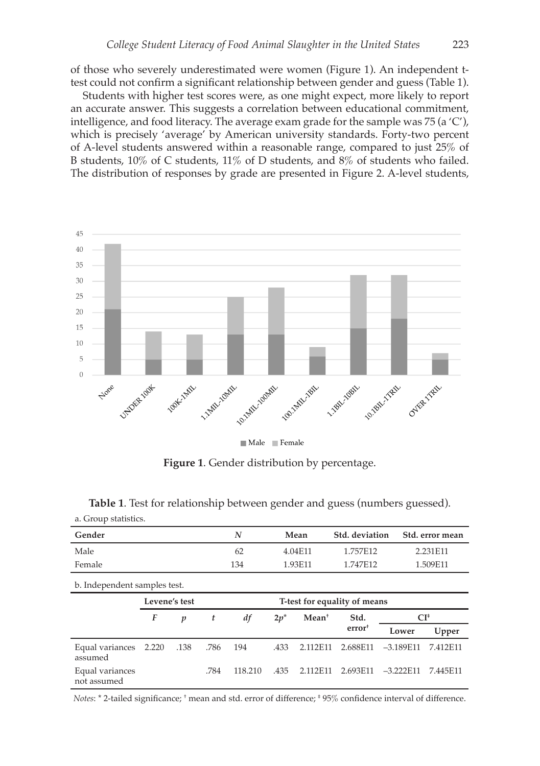of those who severely underestimated were women (Figure 1). An independent ttest could not confirm a significant relationship between gender and guess (Table 1).

Students with higher test scores were, as one might expect, more likely to report an accurate answer. This suggests a correlation between educational commitment, intelligence, and food literacy. The average exam grade for the sample was 75 (a  $\langle C' \rangle$ , which is precisely 'average' by American university standards. Forty-two percent of A-level students answered within a reasonable range, compared to just 25% of B students, 10% of C students, 11% of D students, and 8% of students who failed. The distribution of responses by grade are presented in Figure 2. A-level students,



Male Female

**Figure 1**. Gender distribution by percentage.

| Gender                         |               |      |      | N       |                              | Mean     | Std. deviation     |             | Std. error mean |
|--------------------------------|---------------|------|------|---------|------------------------------|----------|--------------------|-------------|-----------------|
| Male                           |               | 62   |      | 4.04E11 |                              | 1.757E12 |                    | 2.231E11    |                 |
| Female                         |               |      |      | 134     |                              | 1.93E11  | 1.747E12           | 1.509E11    |                 |
| b. Independent samples test.   |               |      |      |         |                              |          |                    |             |                 |
|                                | Levene's test |      |      |         | T-test for equality of means |          |                    |             |                 |
| F<br>$\boldsymbol{p}$          |               |      | t    | df      | $2p^*$                       | $Mean+$  | Std.               | $CI^*$      |                 |
|                                |               |      |      |         |                              |          | error <sup>†</sup> | Lower       | Upper           |
| Equal variances<br>assumed     | 2.220         | .138 | .786 | 194     | .433                         | 2.112F11 | 2.688E11           | $-3.189E11$ | 7.412E11        |
| Equal variances<br>not assumed |               |      | .784 | 118.210 | .435                         | 2.112F11 | 2.693E11           | $-3.222E11$ | 7.445E11        |

**Table 1**. Test for relationship between gender and guess (numbers guessed). a. Group statistics.

*Notes*:  $*$  2-tailed significance;  $*$  mean and std. error of difference;  $*$  95% confidence interval of difference.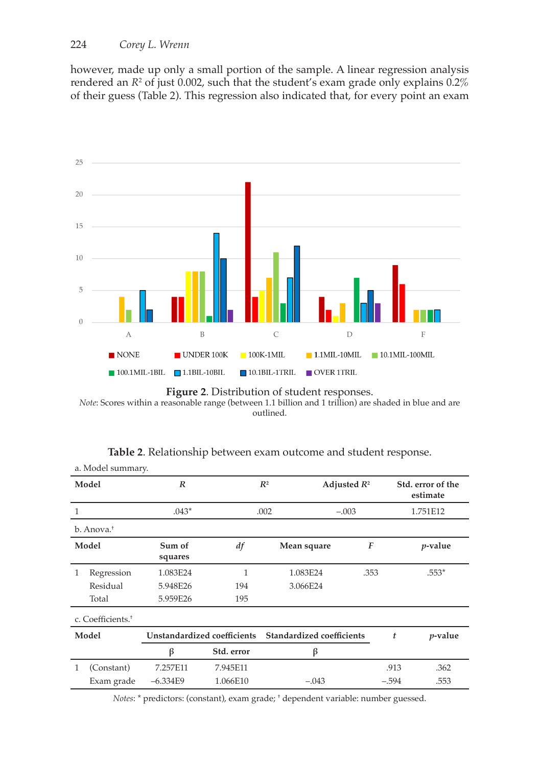however, made up only a small portion of the sample. A linear regression analysis rendered an *R*<sup>2</sup> of just 0.002, such that the student's exam grade only explains 0.2% of their guess (Table 2). This regression also indicated that, for every point an exam



**Figure 2**. Distribution of student responses.

*Note*: Scores within a reasonable range (between 1.1 billion and 1 trillion) are shaded in blue and are outlined.

| a. Model summary. |                               |                             |            |                           |                  |         |                               |  |
|-------------------|-------------------------------|-----------------------------|------------|---------------------------|------------------|---------|-------------------------------|--|
| Model             |                               | $\boldsymbol{R}$            |            | $R^2$                     | Adjusted $R^2$   |         | Std. error of the<br>estimate |  |
| $\mathbf{1}$      |                               | $.043*$                     |            | .002                      | $-.003$          |         | 1.751E12                      |  |
|                   | b. Anova. <sup>†</sup>        |                             |            |                           |                  |         |                               |  |
|                   | Model                         | Sum of<br>squares           | df         | Mean square               | $\boldsymbol{F}$ |         | <i>p</i> -value               |  |
| 1                 | Regression                    | 1.083E24                    | 1          | 1.083E24                  | .353             |         | $.553*$                       |  |
|                   | Residual                      | 5.948E26                    | 194        | 3.066E24                  |                  |         |                               |  |
|                   | Total                         | 5.959E26                    | 195        |                           |                  |         |                               |  |
|                   | c. Coefficients. <sup>+</sup> |                             |            |                           |                  |         |                               |  |
| Model             |                               | Unstandardized coefficients |            | Standardized coefficients |                  | t       | $p$ -value                    |  |
|                   |                               | β                           | Std. error | β                         |                  |         |                               |  |
| 1                 | (Constant)                    | 7.257E11                    | 7.945E11   |                           |                  | .913    | .362                          |  |
|                   | Exam grade                    | $-6.334E9$                  | 1.066E10   | $-.043$                   |                  | $-.594$ | .553                          |  |

| Table 2. Relationship between exam outcome and student response. |  |  |
|------------------------------------------------------------------|--|--|
|                                                                  |  |  |

*Notes*: \* predictors: (constant), exam grade; † dependent variable: number guessed.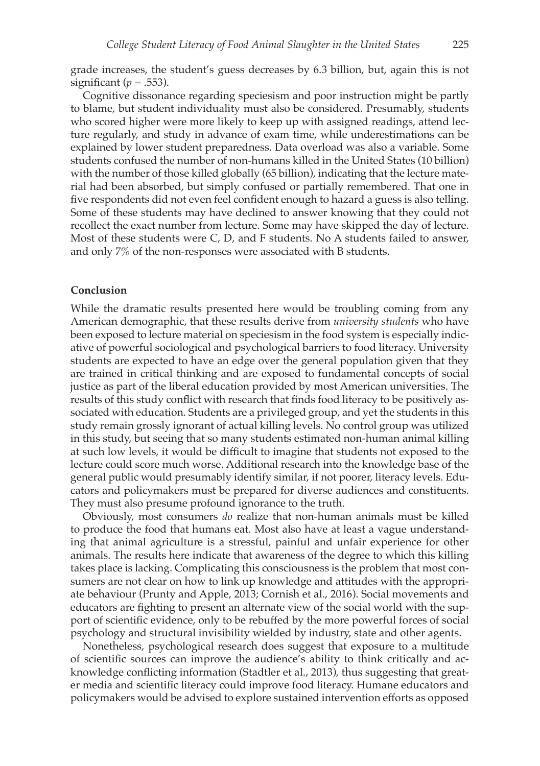grade increases, the student's guess decreases by 6.3 billion, but, again this is not significant ( $p = .553$ ).

Cognitive dissonance regarding speciesism and poor instruction might be partly to blame, but student individuality must also be considered. Presumably, students who scored higher were more likely to keep up with assigned readings, attend lecture regularly, and study in advance of exam time, while underestimations can be explained by lower student preparedness. Data overload was also a variable. Some students confused the number of non-humans killed in the United States (10 billion) with the number of those killed globally (65 billion), indicating that the lecture material had been absorbed, but simply confused or partially remembered. That one in five respondents did not even feel confident enough to hazard a guess is also telling. Some of these students may have declined to answer knowing that they could not recollect the exact number from lecture. Some may have skipped the day of lecture. Most of these students were C, D, and F students. No A students failed to answer, and only 7% of the non-responses were associated with B students.

#### **Conclusion**

While the dramatic results presented here would be troubling coming from any American demographic, that these results derive from *university students* who have been exposed to lecture material on speciesism in the food system is especially indicative of powerful sociological and psychological barriers to food literacy. University students are expected to have an edge over the general population given that they are trained in critical thinking and are exposed to fundamental concepts of social justice as part of the liberal education provided by most American universities. The results of this study conflict with research that finds food literacy to be positively associated with education. Students are a privileged group, and yet the students in this study remain grossly ignorant of actual killing levels. No control group was utilized in this study, but seeing that so many students estimated non-human animal killing at such low levels, it would be difficult to imagine that students not exposed to the lecture could score much worse. Additional research into the knowledge base of the general public would presumably identify similar, if not poorer, literacy levels. Educators and policymakers must be prepared for diverse audiences and constituents. They must also presume profound ignorance to the truth.

Obviously, most consumers *do* realize that non-human animals must be killed to produce the food that humans eat. Most also have at least a vague understanding that animal agriculture is a stressful, painful and unfair experience for other animals. The results here indicate that awareness of the degree to which this killing takes place is lacking. Complicating this consciousness is the problem that most consumers are not clear on how to link up knowledge and attitudes with the appropriate behaviour (Prunty and Apple, 2013; Cornish et al., 2016). Social movements and educators are fighting to present an alternate view of the social world with the support of scientific evidence, only to be rebuffed by the more powerful forces of social psychology and structural invisibility wielded by industry, state and other agents.

Nonetheless, psychological research does suggest that exposure to a multitude of scientific sources can improve the audience's ability to think critically and acknowledge conflicting information (Stadtler et al., 2013), thus suggesting that greater media and scientific literacy could improve food literacy. Humane educators and policymakers would be advised to explore sustained intervention efforts as opposed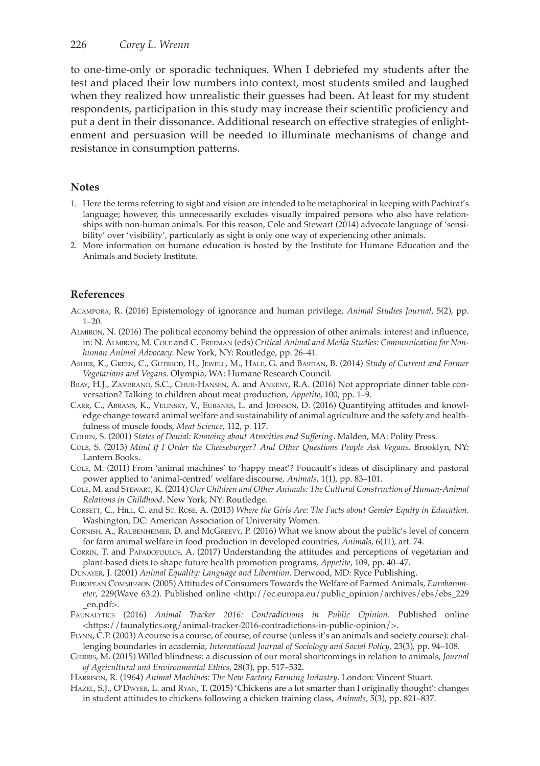to one-time-only or sporadic techniques. When I debriefed my students after the test and placed their low numbers into context, most students smiled and laughed when they realized how unrealistic their guesses had been. At least for my student respondents, participation in this study may increase their scientific proficiency and put a dent in their dissonance. Additional research on effective strategies of enlightenment and persuasion will be needed to illuminate mechanisms of change and resistance in consumption patterns.

#### **Notes**

- 1. Here the terms referring to sight and vision are intended to be metaphorical in keeping with Pachirat's language; however, this unnecessarily excludes visually impaired persons who also have relationships with non-human animals. For this reason, Cole and Stewart (2014) advocate language of 'sensibility' over 'visibility', particularly as sight is only one way of experiencing other animals.
- 2. More information on humane education is hosted by the Institute for Humane Education and the Animals and Society Institute.

### **References**

Acampora, R. (2016) Epistemology of ignorance and human privilege, *Animal Studies Journal*, 5(2), pp. 1–20.

- Almiron, N. (2016) The political economy behind the oppression of other animals: interest and influence, in: N. Almiron, M. Cole and C. Freeman (eds) *Critical Animal and Media Studies: Communication for Nonhuman Animal Advocacy*. New York, NY: Routledge, pp. 26–41.
- Asher, K., Green, C., Gutbrod, H., Jewell, M., Hale, G. and Bastian, B. (2014) *Study of Current and Former Vegetarians and Vegans*. Olympia, WA: Humane Research Council.
- Bray, H.J., Zambrano, S.C., Chur-Hansen, A. and Ankeny, R.A. (2016) Not appropriate dinner table conversation? Talking to children about meat production, *Appetite*, 100, pp. 1–9.
- Carr, C., Abrams, K., Velinsky, V., Eubanks, L. and Johnson, D. (2016) Quantifying attitudes and knowledge change toward animal welfare and sustainability of animal agriculture and the safety and healthfulness of muscle foods, *Meat Science*, 112, p. 117.
- Cohen, S. (2001) *States of Denial: Knowing about Atrocities and Suffering*. Malden, MA: Polity Press.
- Colb, S. (2013) *Mind If I Order the Cheeseburger? And Other Questions People Ask Vegans*. Brooklyn, NY: Lantern Books.
- Cole, M. (2011) From 'animal machines' to 'happy meat'? Foucault's ideas of disciplinary and pastoral power applied to 'animal-centred' welfare discourse, *Animals*, 1(1), pp. 83–101.
- Cole, M. and Stewart, K. (2014) *Our Children and Other Animals: The Cultural Construction of Human-Animal Relations in Childhood*. New York, NY: Routledge.
- Corbett, C., Hill, C. and St. Rose, A. (2013) *Where the Girls Are: The Facts about Gender Equity in Education*. Washington, DC: American Association of University Women.
- Cornish, A., Raubenheimer, D. and McGreevy, P. (2016) What we know about the public's level of concern for farm animal welfare in food production in developed countries, *Animals*, 6(11), art. 74.
- CORRIN, T. and PAPADOPOULOS, A. (2017) Understanding the attitudes and perceptions of vegetarian and plant-based diets to shape future health promotion programs, *Appetite*, 109, pp. 40–47.
- Dunayer, J. (2001) *Animal Equality: Language and Liberation*. Derwood, MD: Ryce Publishing.
- European Commission (2005) Attitudes of Consumers Towards the Welfare of Farmed Animals, *Eurobarometer*, 229(Wave 63.2). Published online <http://ec.europa.eu/public\_opinion/archives/ebs/ebs\_229 \_en.pdf>.
- Faunalytics (2016) *Animal Tracker 2016: Contradictions in Public Opinion*. Published online <https://faunalytics.org/animal-tracker-2016-contradictions-in-public-opinion/>.
- Flynn, C.P. (2003) A course is a course, of course, of course (unless it's an animals and society course): challenging boundaries in academia, *International Journal of Sociology and Social Policy*, 23(3), pp. 94–108.
- Gjerris, M. (2015) Willed blindness: a discussion of our moral shortcomings in relation to animals, *Journal of Agricultural and Environmental Ethics*, 28(3), pp. 517–532.

Harrison, R. (1964) *Animal Machines: The New Factory Farming Industry*. London: Vincent Stuart.

Hazel, S.J., O'Dwyer, L. and Ryan, T. (2015) 'Chickens are a lot smarter than I originally thought': changes in student attitudes to chickens following a chicken training class, *Animals*, 5(3), pp. 821–837.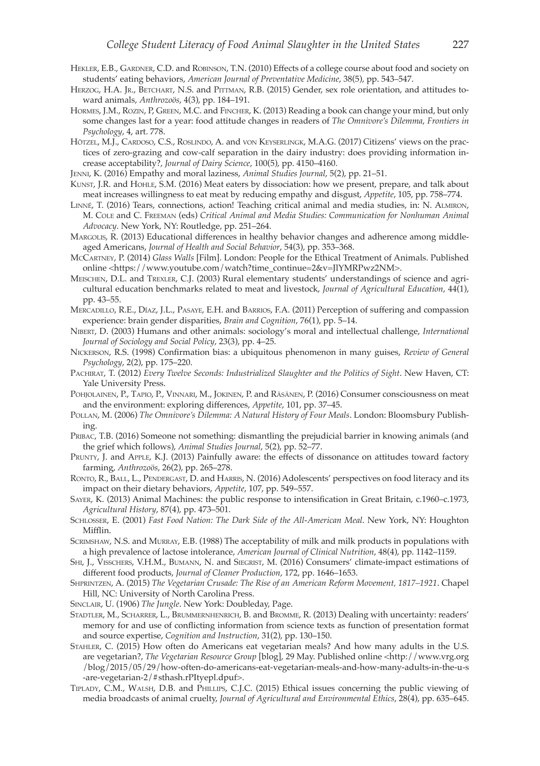- Hekler, E.B., Gardner, C.D. and Robinson, T.N. (2010) Effects of a college course about food and society on students' eating behaviors, *American Journal of Preventative Medicine*, 38(5), pp. 543–547.
- HERZOG, H.A. JR., BETCHART, N.S. and PITTMAN, R.B. (2015) Gender, sex role orientation, and attitudes toward animals, *Anthrozoös*, 4(3), pp. 184–191.
- Hormes, J.M., Rozin, P, Green, M.C. and Fincher, K. (2013) Reading a book can change your mind, but only some changes last for a year: food attitude changes in readers of *The Omnivore's Dilemma*, *Frontiers in Psychology*, 4, art. 778.
- HÖTZEL, M.J., CARDOSO, C.S., ROSLINDO, A. and vON KEYSERLINGK, M.A.G. (2017) Citizens' views on the practices of zero-grazing and cow-calf separation in the dairy industry: does providing information increase acceptability?, *Journal of Dairy Science*, 100(5), pp. 4150–4160.
- Jenni, K. (2016) Empathy and moral laziness, *Animal Studies Journal*, 5(2), pp. 21–51.
- KUNST, J.R. and HOHLE, S.M. (2016) Meat eaters by dissociation: how we present, prepare, and talk about meat increases willingness to eat meat by reducing empathy and disgust, *Appetite*, 105, pp. 758–774.
- Linné, T. (2016) Tears, connections, action! Teaching critical animal and media studies, in: N. Almiron, M. Cole and C. Freeman (eds) *Critical Animal and Media Studies: Communication for Nonhuman Animal Advocacy*. New York, NY: Routledge, pp. 251–264.
- Margolis, R. (2013) Educational differences in healthy behavior changes and adherence among middleaged Americans, *Journal of Health and Social Behavior*, 54(3), pp. 353–368.
- McCartney, P. (2014) *Glass Walls* [Film]. London: People for the Ethical Treatment of Animals. Published online <https://www.youtube.com/watch?time\_continue=2&v=JlYMRPwz2NM>.
- Meischen, D.L. and Trexler, C.J. (2003) Rural elementary students' understandings of science and agricultural education benchmarks related to meat and livestock, *Journal of Agricultural Education*, 44(1), pp. 43–55.
- Mercadillo, R.E., Díaz, J.L., Pasaye, E.H. and Barrios, F.A. (2011) Perception of suffering and compassion experience: brain gender disparities, *Brain and Cognition*, 76(1), pp. 5–14.
- Nibert, D. (2003) Humans and other animals: sociology's moral and intellectual challenge, *International Journal of Sociology and Social Policy*, 23(3), pp. 4–25.
- Nickerson, R.S. (1998) Confirmation bias: a ubiquitous phenomenon in many guises, *Review of General Psychology*, 2(2), pp. 175–220.
- PACHIRAT, T. (2012) *Every Twelve Seconds: Industrialized Slaughter and the Politics of Sight*. New Haven, CT: Yale University Press.
- Pohjolainen, P., Tapio, P., Vinnari, M., Jokinen, P. and Räsänen, P. (2016) Consumer consciousness on meat and the environment: exploring differences, *Appetite*, 101, pp. 37–45.
- Pollan, M. (2006) *The Omnivore's Dilemma: A Natural History of Four Meals*. London: Bloomsbury Publishing.
- Pribac, T.B. (2016) Someone not something: dismantling the prejudicial barrier in knowing animals (and the grief which follows), *Animal Studies Journal*, 5(2), pp. 52–77.
- Prunty, J. and Apple, K.J. (2013) Painfully aware: the effects of dissonance on attitudes toward factory farming, *Anthrozoös*, 26(2), pp. 265–278.
- RONTO, R., BALL, L., PENDERGAST, D. and HARRIS, N. (2016) Adolescents' perspectives on food literacy and its impact on their dietary behaviors, *Appetite*, 107, pp. 549–557.
- Sayer, K. (2013) Animal Machines: the public response to intensification in Great Britain, c.1960–c.1973, *Agricultural History*, 87(4), pp. 473–501.
- Schlosser, E. (2001) *Fast Food Nation: The Dark Side of the All-American Meal*. New York, NY: Houghton Mifflin.
- Scrimshaw, N.S. and Murray, E.B. (1988) The acceptability of milk and milk products in populations with a high prevalence of lactose intolerance, *American Journal of Clinical Nutrition*, 48(4), pp. 1142–1159.
- Shi, J., Visschers, V.H.M., Bumann, N. and Siegrist, M. (2016) Consumers' climate-impact estimations of different food products, *Journal of Cleaner Production*, 172, pp. 1646–1653.
- Shprintzen, A. (2015) *The Vegetarian Crusade: The Rise of an American Reform Movement, 1817–1921*. Chapel Hill, NC: University of North Carolina Press.
- Sinclair, U. (1906) *The Jungle*. New York: Doubleday, Page.
- Stadtler, M., Scharrer, L., Brummernhenrich, B. and Bromme, R. (2013) Dealing with uncertainty: readers' memory for and use of conflicting information from science texts as function of presentation format and source expertise, *Cognition and Instruction*, 31(2), pp. 130–150.
- Stahler, C. (2015) How often do Americans eat vegetarian meals? And how many adults in the U.S. are vegetarian?, *The Vegetarian Resource Group* [blog], 29 May. Published online <http://www.vrg.org /blog/2015/05/29/how-often-do-americans-eat-vegetarian-meals-and-how-many-adults-in-the-u-s -are-vegetarian-2/#sthash.rPItyepl.dpuf>.
- Tiplady, C.M., Walsh, D.B. and Phillips, C.J.C. (2015) Ethical issues concerning the public viewing of media broadcasts of animal cruelty, *Journal of Agricultural and Environmental Ethics*, 28(4), pp. 635–645.